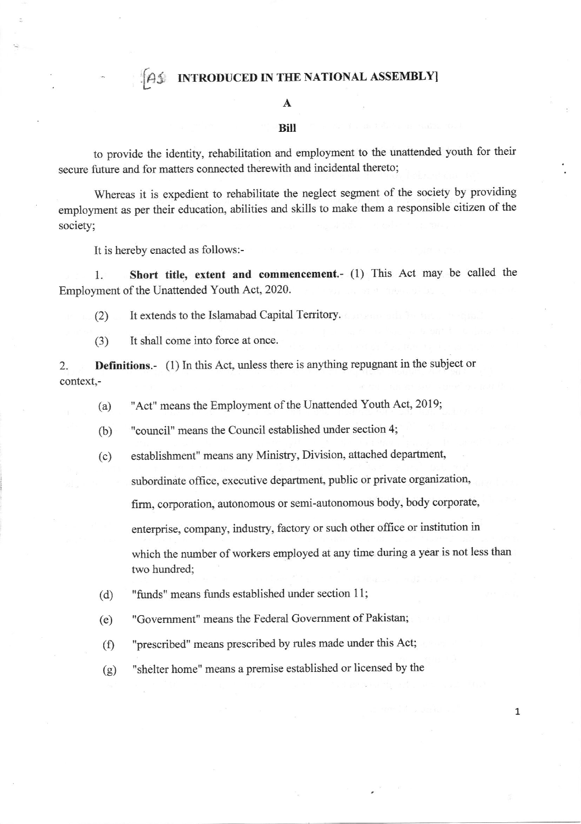**AS INTRODUCED IN THE NATIONAL ASSEMBLY** 

## A

## Biil

to provide the identity, rehabilitation and employment to the unattended youth for their secure future and for matters connected therewith and incidental thereto;

Whereas it is expedient to rehabilitate the neglect segment of the society by providing employment as per their education, abilities and skills to make them a responsible citizen of the society;

It is hereby enacted as follows:-

1. Short title, extent and commencement.- (1) This Act may be called the Employment of the Unattended Youth Act, 2020.

(2) It extends to the Islamabad Capital Territory.

(3) It shall come into force at once.

2. **Definitions.**- (1) In this Act, unless there is anything repugnant in the subject or context,-

- (a) "Act" means the Employment of the Unattended Youth Act, 2019;
- (b) "council" means the Council established under section 4;
- (c) establishment" means any Ministry, Division, attached departrnent,

subordinate office, executive departrnent, public or private organization,

firm, corporation, autonomous or semi-autonomous body, body corporate,

enterprise, company, industry, factory or such other office or institution in

which the number of workers employed at any time during a year is not less than two hundred;

- (d) "funds" means funds established under section 11;
- (e) "Govemment" means the Federal Govemment of Pakistan;
- (f) "prescribed" means prescribed by rules made under this Act;
- (g) "shelter home" means a premise established or licensed by the

7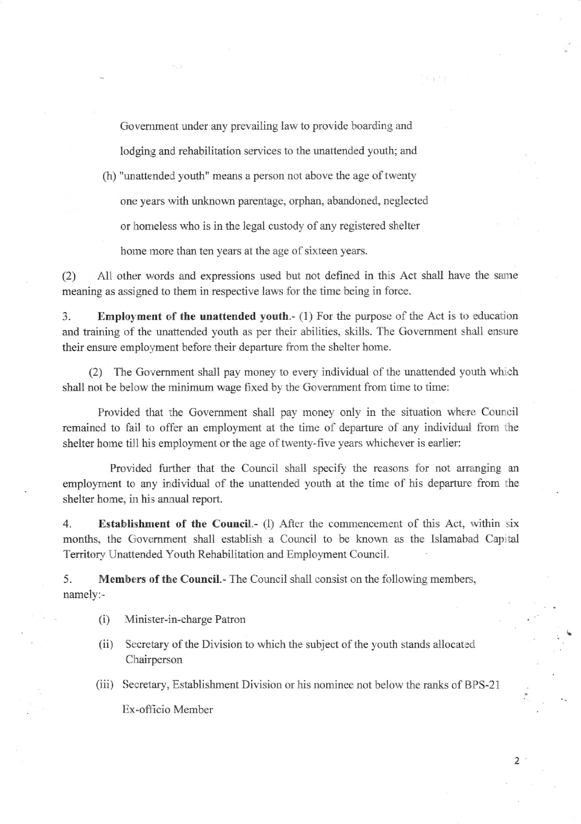Govemment under any prevailing law to provide boarding and

 $1.3 + 3$ 

lodging and rehabilitation services to the unattended youth; and (h) "unattended youth" means a person not above the age of twenty

one years with unknown parentage, orphan, abandoned, neglected

or homeless who is in the legal custody of any registered shelter

home more than ten years at the age of sixteen years.

(2) All other words and expressions used but not defined in this Act shall have the same meaning as assigned to them in respective laws for the time being in force.

3. Employment of the unattended youth. $- (1)$  For the purpose of the Act is to education and training of the unattended youth as per their abilities, skills. The Govemment shall ensure their ensure employment before their departure fiom the shelter home.

(2) The Govemment shall pay money to every individual of the unattended youth whrch shall not be below the minimum wage fixed by the Government from time to time:

Provided that the Government shall pay money only in the situation where Council remained to fail to offer an employment at the time of departure of any individual from the shelter home till his employment or the age of twenty-five years whichever is earlier:

Provided further that the Council shall specify the reasons for not arranging an employment to any individual of the unattended youth at the time of his departure from the shelter home, in his annual report.

4. Establishment of the Council.- (1) After the commencement of this Act, within six months, the Government shall establish a Council to be known as the Islamabad Capital Territory Unattended Youth Rehabilitation and Employment Council.

5. Members of the Council.- The Council shall consist on the following members, namely:-

(i) Minister-in-charge Patron

- (ii) Secretary of the Division to which the subject of the youth stands allocated Chairperson
- (iii) Secretary, Establishment Division or his nominee not below the ranks of BPS-21

Ex-officio Member